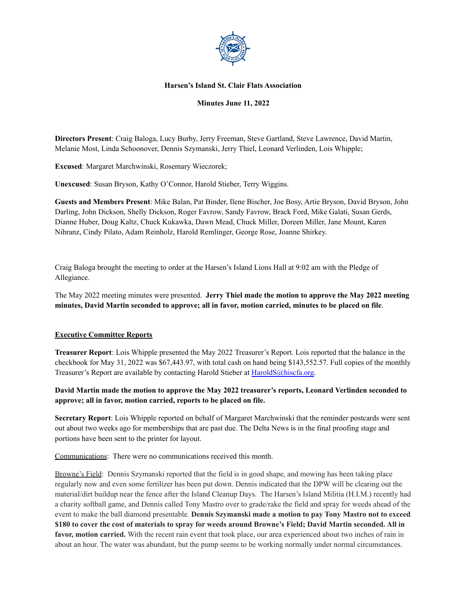

#### **Harsen's Island St. Clair Flats Association**

#### **Minutes June 11, 2022**

**Directors Present**: Craig Baloga, Lucy Burby, Jerry Freeman, Steve Gartland, Steve Lawrence, David Martin, Melanie Most, Linda Schoonover, Dennis Szymanski, Jerry Thiel, Leonard Verlinden, Lois Whipple;

**Excused**: Margaret Marchwinski, Rosemary Wieczorek;

**Unexcused**: Susan Bryson, Kathy O'Connor, Harold Stieber, Terry Wiggins.

**Guests and Members Present**: Mike Balan, Pat Binder, Ilene Bischer, Joe Bosy, Artie Bryson, David Bryson, John Darling, John Dickson, Shelly Dickson, Roger Favrow, Sandy Favrow, Brack Ford, Mike Galati, Susan Gerds, Dianne Huber, Doug Kaltz, Chuck Kukawka, Dawn Mead, Chuck Miller, Doreen Miller, Jane Mount, Karen Nihranz, Cindy Pilato, Adam Reinholz, Harold Remlinger, George Rose, Joanne Shirkey.

Craig Baloga brought the meeting to order at the Harsen's Island Lions Hall at 9:02 am with the Pledge of Allegiance.

The May 2022 meeting minutes were presented. **Jerry Thiel made the motion to approve the May 2022 meeting minutes, David Martin seconded to approve; all in favor, motion carried, minutes to be placed on file**.

#### **Executive Committee Reports**

**Treasurer Report**: Lois Whipple presented the May 2022 Treasurer's Report. Lois reported that the balance in the checkbook for May 31, 2022 was \$67,443.97, with total cash on hand being \$143,552.57. Full copies of the monthly Treasurer's Report are available by contacting Harold Stieber at [HaroldS@hiscfa.org.](mailto:HaroldS@hiscfa.org)

## **David Martin made the motion to approve the May 2022 treasurer's reports, Leonard Verlinden seconded to approve; all in favor, motion carried, reports to be placed on file.**

**Secretary Report**: Lois Whipple reported on behalf of Margaret Marchwinski that the reminder postcards were sent out about two weeks ago for memberships that are past due. The Delta News is in the final proofing stage and portions have been sent to the printer for layout.

Communications: There were no communications received this month.

Browne's Field: Dennis Szymanski reported that the field is in good shape, and mowing has been taking place regularly now and even some fertilizer has been put down. Dennis indicated that the DPW will be clearing out the material/dirt buildup near the fence after the Island Cleanup Days. The Harsen's Island Militia (H.I.M.) recently had a charity softball game, and Dennis called Tony Mastro over to grade/rake the field and spray for weeds ahead of the event to make the ball diamond presentable. **Dennis Szymanski made a motion to pay Tony Mastro not to exceed** \$180 to cover the cost of materials to spray for weeds around Browne's Field; David Martin seconded. All in **favor, motion carried.** With the recent rain event that took place, our area experienced about two inches of rain in about an hour. The water was abundant, but the pump seems to be working normally under normal circumstances.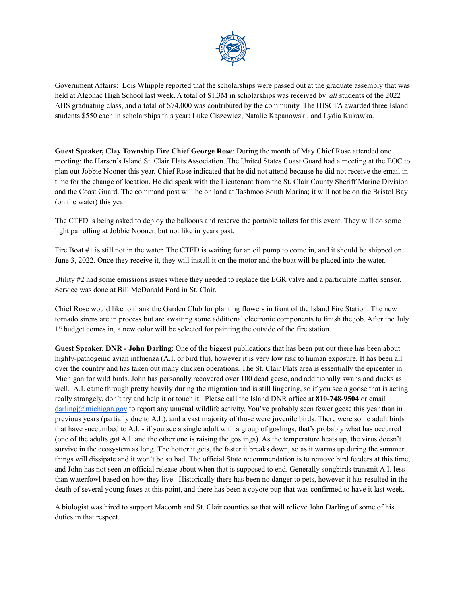

Government Affairs: Lois Whipple reported that the scholarships were passed out at the graduate assembly that was held at Algonac High School last week. A total of \$1.3M in scholarships was received by *all* students of the 2022 AHS graduating class, and a total of \$74,000 was contributed by the community. The HISCFA awarded three Island students \$550 each in scholarships this year: Luke Ciszewicz, Natalie Kapanowski, and Lydia Kukawka.

**Guest Speaker, Clay Township Fire Chief George Rose**: During the month of May Chief Rose attended one meeting: the Harsen's Island St. Clair Flats Association. The United States Coast Guard had a meeting at the EOC to plan out Jobbie Nooner this year. Chief Rose indicated that he did not attend because he did not receive the email in time for the change of location. He did speak with the Lieutenant from the St. Clair County Sheriff Marine Division and the Coast Guard. The command post will be on land at Tashmoo South Marina; it will not be on the Bristol Bay (on the water) this year.

The CTFD is being asked to deploy the balloons and reserve the portable toilets for this event. They will do some light patrolling at Jobbie Nooner, but not like in years past.

Fire Boat #1 is still not in the water. The CTFD is waiting for an oil pump to come in, and it should be shipped on June 3, 2022. Once they receive it, they will install it on the motor and the boat will be placed into the water.

Utility #2 had some emissions issues where they needed to replace the EGR valve and a particulate matter sensor. Service was done at Bill McDonald Ford in St. Clair.

Chief Rose would like to thank the Garden Club for planting flowers in front of the Island Fire Station. The new tornado sirens are in process but are awaiting some additional electronic components to finish the job. After the July 1<sup>st</sup> budget comes in, a new color will be selected for painting the outside of the fire station.

**Guest Speaker, DNR - John Darling**: One of the biggest publications that has been put out there has been about highly-pathogenic avian influenza (A.I. or bird flu), however it is very low risk to human exposure. It has been all over the country and has taken out many chicken operations. The St. Clair Flats area is essentially the epicenter in Michigan for wild birds. John has personally recovered over 100 dead geese, and additionally swans and ducks as well. A.I. came through pretty heavily during the migration and is still lingering, so if you see a goose that is acting really strangely, don't try and help it or touch it. Please call the Island DNR office at **810-748-9504** or email  $\text{d}$ arlingj@michigan.gov to report any unusual wildlife activity. You've probably seen fewer geese this year than in previous years (partially due to A.I.), and a vast majority of those were juvenile birds. There were some adult birds that have succumbed to A.I. - if you see a single adult with a group of goslings, that's probably what has occurred (one of the adults got A.I. and the other one is raising the goslings). As the temperature heats up, the virus doesn't survive in the ecosystem as long. The hotter it gets, the faster it breaks down, so as it warms up during the summer things will dissipate and it won't be so bad. The official State recommendation is to remove bird feeders at this time, and John has not seen an official release about when that is supposed to end. Generally songbirds transmit A.I. less than waterfowl based on how they live. Historically there has been no danger to pets, however it has resulted in the death of several young foxes at this point, and there has been a coyote pup that was confirmed to have it last week.

A biologist was hired to support Macomb and St. Clair counties so that will relieve John Darling of some of his duties in that respect.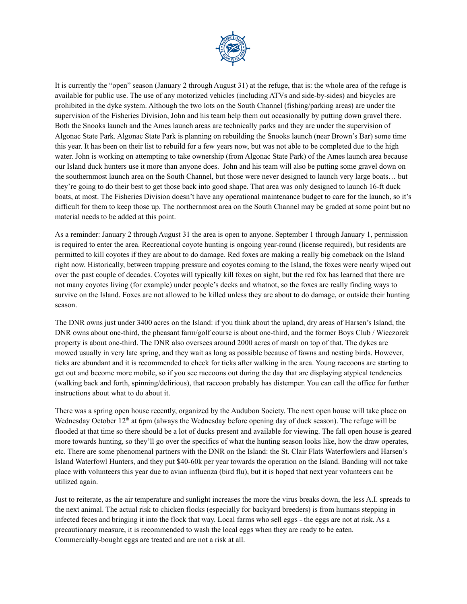

It is currently the "open" season (January 2 through August 31) at the refuge, that is: the whole area of the refuge is available for public use. The use of any motorized vehicles (including ATVs and side-by-sides) and bicycles are prohibited in the dyke system. Although the two lots on the South Channel (fishing/parking areas) are under the supervision of the Fisheries Division, John and his team help them out occasionally by putting down gravel there. Both the Snooks launch and the Ames launch areas are technically parks and they are under the supervision of Algonac State Park. Algonac State Park is planning on rebuilding the Snooks launch (near Brown's Bar) some time this year. It has been on their list to rebuild for a few years now, but was not able to be completed due to the high water. John is working on attempting to take ownership (from Algonac State Park) of the Ames launch area because our Island duck hunters use it more than anyone does. John and his team will also be putting some gravel down on the southernmost launch area on the South Channel, but those were never designed to launch very large boats… but they're going to do their best to get those back into good shape. That area was only designed to launch 16-ft duck boats, at most. The Fisheries Division doesn't have any operational maintenance budget to care for the launch, so it's difficult for them to keep those up. The northernmost area on the South Channel may be graded at some point but no material needs to be added at this point.

As a reminder: January 2 through August 31 the area is open to anyone. September 1 through January 1, permission is required to enter the area. Recreational coyote hunting is ongoing year-round (license required), but residents are permitted to kill coyotes if they are about to do damage. Red foxes are making a really big comeback on the Island right now. Historically, between trapping pressure and coyotes coming to the Island, the foxes were nearly wiped out over the past couple of decades. Coyotes will typically kill foxes on sight, but the red fox has learned that there are not many coyotes living (for example) under people's decks and whatnot, so the foxes are really finding ways to survive on the Island. Foxes are not allowed to be killed unless they are about to do damage, or outside their hunting season.

The DNR owns just under 3400 acres on the Island: if you think about the upland, dry areas of Harsen's Island, the DNR owns about one-third, the pheasant farm/golf course is about one-third, and the former Boys Club / Wieczorek property is about one-third. The DNR also oversees around 2000 acres of marsh on top of that. The dykes are mowed usually in very late spring, and they wait as long as possible because of fawns and nesting birds. However, ticks are abundant and it is recommended to check for ticks after walking in the area. Young raccoons are starting to get out and become more mobile, so if you see raccoons out during the day that are displaying atypical tendencies (walking back and forth, spinning/delirious), that raccoon probably has distemper. You can call the office for further instructions about what to do about it.

There was a spring open house recently, organized by the Audubon Society. The next open house will take place on Wednesday October 12<sup>th</sup> at 6pm (always the Wednesday before opening day of duck season). The refuge will be flooded at that time so there should be a lot of ducks present and available for viewing. The fall open house is geared more towards hunting, so they'll go over the specifics of what the hunting season looks like, how the draw operates, etc. There are some phenomenal partners with the DNR on the Island: the St. Clair Flats Waterfowlers and Harsen's Island Waterfowl Hunters, and they put \$40-60k per year towards the operation on the Island. Banding will not take place with volunteers this year due to avian influenza (bird flu), but it is hoped that next year volunteers can be utilized again.

Just to reiterate, as the air temperature and sunlight increases the more the virus breaks down, the less A.I. spreads to the next animal. The actual risk to chicken flocks (especially for backyard breeders) is from humans stepping in infected feces and bringing it into the flock that way. Local farms who sell eggs - the eggs are not at risk. As a precautionary measure, it is recommended to wash the local eggs when they are ready to be eaten. Commercially-bought eggs are treated and are not a risk at all.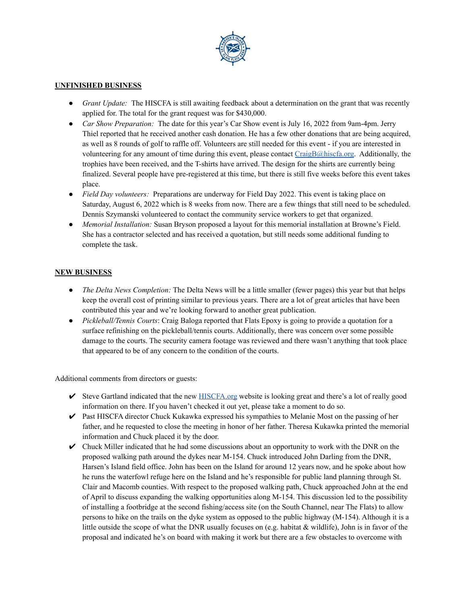

#### **UNFINISHED BUSINESS**

- *● Grant Update:* The HISCFA is still awaiting feedback about a determination on the grant that was recently applied for. The total for the grant request was for \$430,000.
- *● Car Show Preparation:* The date for this year's Car Show event is July 16, 2022 from 9am-4pm. Jerry Thiel reported that he received another cash donation. He has a few other donations that are being acquired, as well as 8 rounds of golf to raffle off. Volunteers are still needed for this event - if you are interested in volunteering for any amount of time during this event, please contact  $CraigB@hiscfa.org$ . Additionally, the trophies have been received, and the T-shirts have arrived. The design for the shirts are currently being finalized. Several people have pre-registered at this time, but there is still five weeks before this event takes place.
- *● Field Day volunteers:* Preparations are underway for Field Day 2022. This event is taking place on Saturday, August 6, 2022 which is 8 weeks from now. There are a few things that still need to be scheduled. Dennis Szymanski volunteered to contact the community service workers to get that organized.
- *Memorial Installation:* Susan Bryson proposed a layout for this memorial installation at Browne's Field. She has a contractor selected and has received a quotation, but still needs some additional funding to complete the task.

### **NEW BUSINESS**

- *The Delta News Completion:* The Delta News will be a little smaller (fewer pages) this year but that helps keep the overall cost of printing similar to previous years. There are a lot of great articles that have been contributed this year and we're looking forward to another great publication.
- *Pickleball/Tennis Courts*: Craig Baloga reported that Flats Epoxy is going to provide a quotation for a surface refinishing on the pickleball/tennis courts. Additionally, there was concern over some possible damage to the courts. The security camera footage was reviewed and there wasn't anything that took place that appeared to be of any concern to the condition of the courts.

Additional comments from directors or guests:

- $\triangleright$  Steve Gartland indicated that the new [HISCFA.org](https://hiscfa.org/) website is looking great and there's a lot of really good information on there. If you haven't checked it out yet, please take a moment to do so.
- $\triangleright$  Past HISCFA director Chuck Kukawka expressed his sympathies to Melanie Most on the passing of her father, and he requested to close the meeting in honor of her father. Theresa Kukawka printed the memorial information and Chuck placed it by the door.
- $\triangleright$  Chuck Miller indicated that he had some discussions about an opportunity to work with the DNR on the proposed walking path around the dykes near M-154. Chuck introduced John Darling from the DNR, Harsen's Island field office. John has been on the Island for around 12 years now, and he spoke about how he runs the waterfowl refuge here on the Island and he's responsible for public land planning through St. Clair and Macomb counties. With respect to the proposed walking path, Chuck approached John at the end of April to discuss expanding the walking opportunities along M-154. This discussion led to the possibility of installing a footbridge at the second fishing/access site (on the South Channel, near The Flats) to allow persons to hike on the trails on the dyke system as opposed to the public highway (M-154). Although it is a little outside the scope of what the DNR usually focuses on (e.g. habitat  $\&$  wildlife), John is in favor of the proposal and indicated he's on board with making it work but there are a few obstacles to overcome with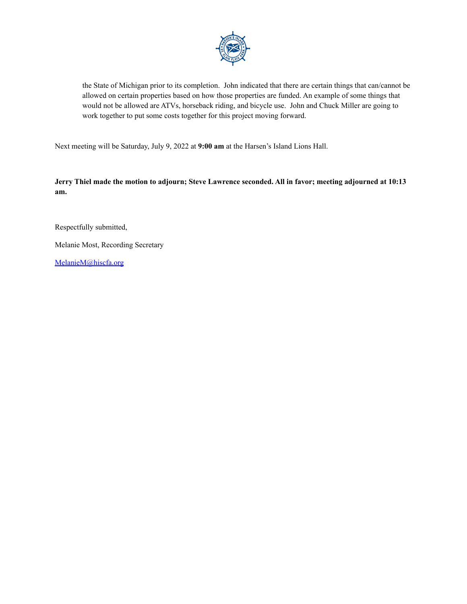

the State of Michigan prior to its completion. John indicated that there are certain things that can/cannot be allowed on certain properties based on how those properties are funded. An example of some things that would not be allowed are ATVs, horseback riding, and bicycle use. John and Chuck Miller are going to work together to put some costs together for this project moving forward.

Next meeting will be Saturday, July 9, 2022 at **9:00 am** at the Harsen's Island Lions Hall.

**Jerry Thiel made the motion to adjourn; Steve Lawrence seconded. All in favor; meeting adjourned at 10:13 am.**

Respectfully submitted,

Melanie Most, Recording Secretary

[MelanieM@hiscfa.org](mailto:MelanieM@hiscfa.org)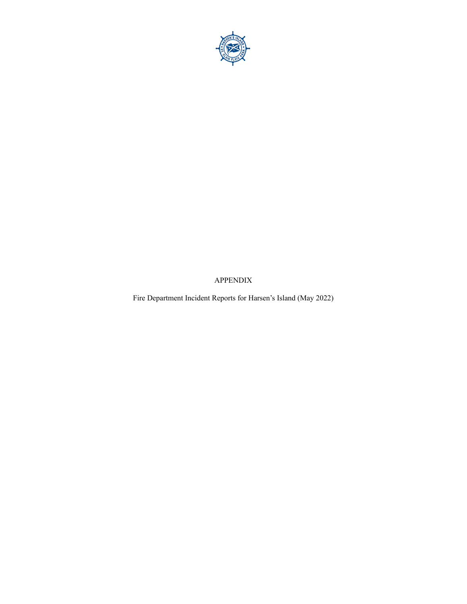

APPENDIX

Fire Department Incident Reports for Harsen's Island (May 2022)